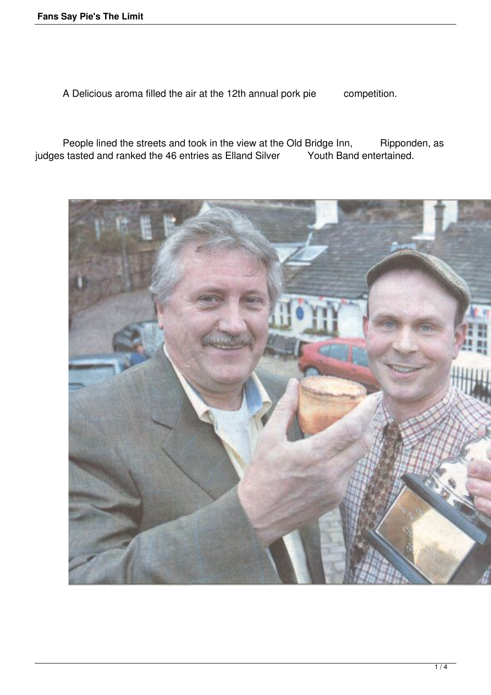A Delicious aroma filled the air at the 12th annual pork pie competition.

People lined the streets and took in the view at the Old Bridge Inn, Ripponden, as<br>s tasted and ranked the 46 entries as Elland Silver Youth Band entertained. judges tasted and ranked the 46 entries as Elland Silver

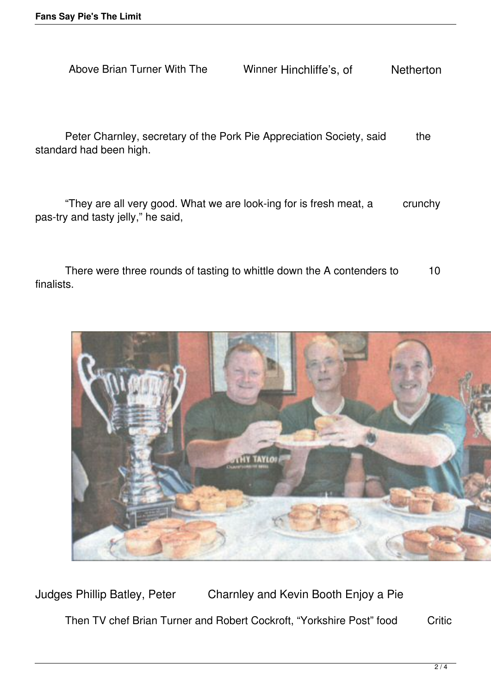Above Brian Turner With The Winner Hinchliffe's, of Netherton

Peter Charnley, secretary of the Pork Pie Appreciation Society, said the standard had been high.

"They are all very good. What we are look-ing for is fresh meat, a crunchy pas-try and tasty jelly," he said,

There were three rounds of tasting to whittle down the A contenders to 10 finalists.



Judges Phillip Batley, Peter Charnley and Kevin Booth Enjoy a Pie Then TV chef Brian Turner and Robert Cockroft, "Yorkshire Post" food Critic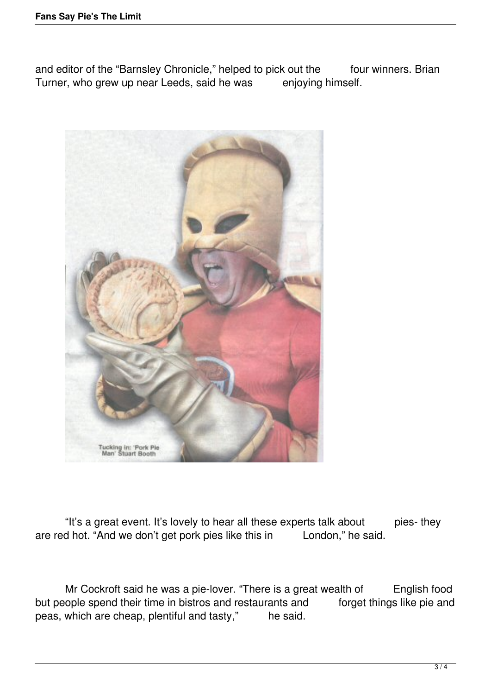and editor of the "Barnsley Chronicle," helped to pick out the four winners. Brian Turner, who grew up near Leeds, said he was enjoying himself.



"It's a great event. It's lovely to hear all these experts talk about pies- they<br>d hot. "And we don't get pork pies like this in London," he said. are red hot. "And we don't get pork pies like this in

Mr Cockroft said he was a pie-lover. "There is a great wealth of English food cople spend their time in bistros and restaurants and forget things like pie and but people spend their time in bistros and restaurants and peas, which are cheap, plentiful and tasty," he said.